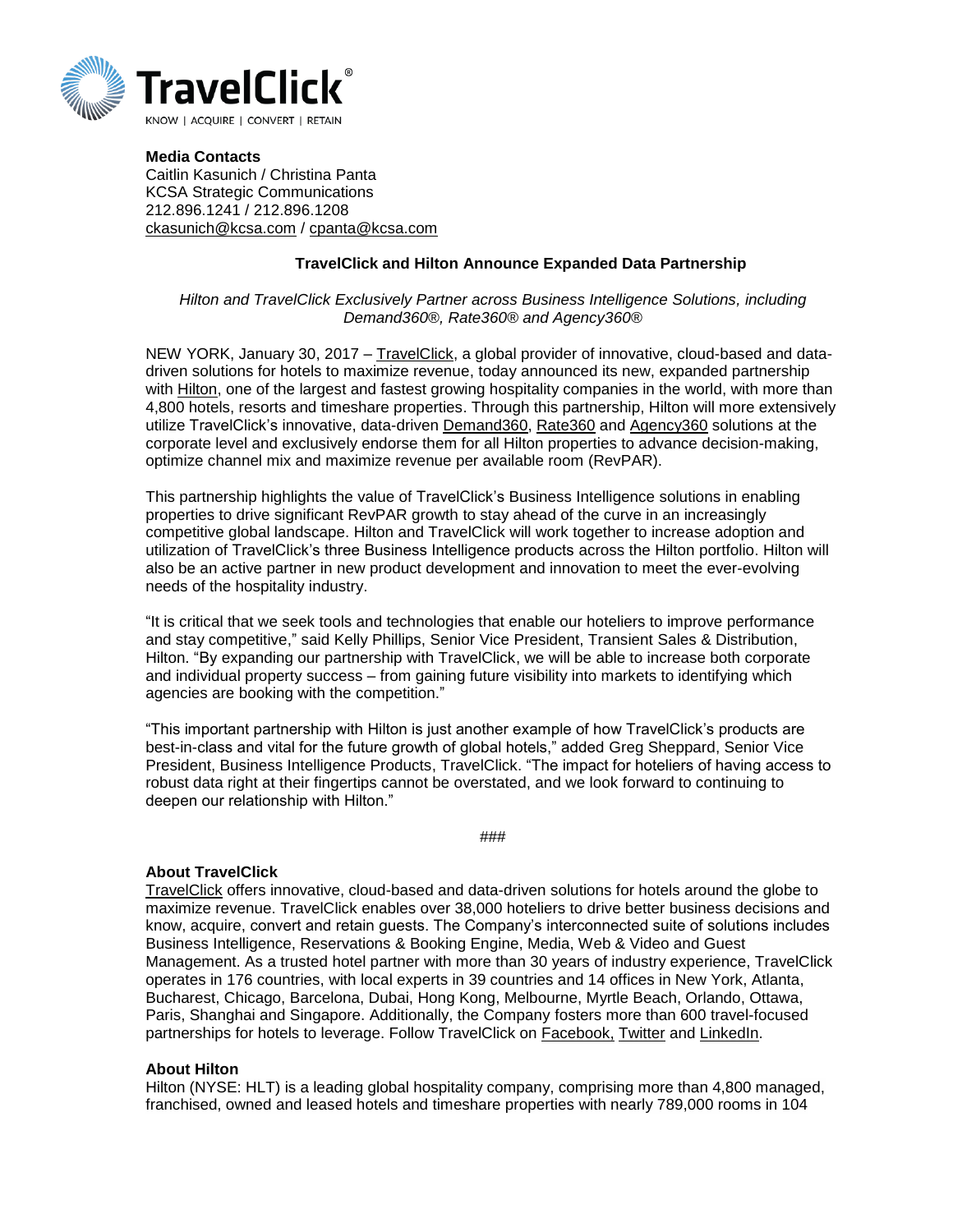

**Media Contacts** Caitlin Kasunich / Christina Panta KCSA Strategic Communications 212.896.1241 / 212.896.1208 [ckasunich@kcsa.com](mailto:ckasunich@kcsa.com) / [cpanta@kcsa.com](mailto:cpanta@kcsa.com)

## **TravelClick and Hilton Announce Expanded Data Partnership**

## *Hilton and TravelClick Exclusively Partner across Business Intelligence Solutions, including Demand360®, Rate360® and Agency360®*

NEW YORK, January 30, 2017 – [TravelClick,](https://www.travelclick.com/en/homepage) a global provider of innovative, cloud-based and datadriven solutions for hotels to maximize revenue, today announced its new, expanded partnership with [Hilton,](http://www.hiltonworldwide.com/) one of the largest and fastest growing hospitality companies in the world, with more than 4,800 hotels, resorts and timeshare properties. Through this partnership, Hilton will more extensively utilize TravelClick's innovative, data-driven [Demand360,](http://www.travelclick.com/en/product-services/business-intelligence-solutions/demand360) [Rate360](http://www.travelclick.com/en/product-services/business-intelligence-solutions/rate360) and [Agency360](http://www.travelclick.com/en/product-services/business-intelligence-solutions/agency360) solutions at the corporate level and exclusively endorse them for all Hilton properties to advance decision-making, optimize channel mix and maximize revenue per available room (RevPAR).

This partnership highlights the value of TravelClick's Business Intelligence solutions in enabling properties to drive significant RevPAR growth to stay ahead of the curve in an increasingly competitive global landscape. Hilton and TravelClick will work together to increase adoption and utilization of TravelClick's three Business Intelligence products across the Hilton portfolio. Hilton will also be an active partner in new product development and innovation to meet the ever-evolving needs of the hospitality industry.

"It is critical that we seek tools and technologies that enable our hoteliers to improve performance and stay competitive," said Kelly Phillips, Senior Vice President, Transient Sales & Distribution, Hilton. "By expanding our partnership with TravelClick, we will be able to increase both corporate and individual property success – from gaining future visibility into markets to identifying which agencies are booking with the competition."

"This important partnership with Hilton is just another example of how TravelClick's products are best-in-class and vital for the future growth of global hotels," added Greg Sheppard, Senior Vice President, Business Intelligence Products, TravelClick. "The impact for hoteliers of having access to robust data right at their fingertips cannot be overstated, and we look forward to continuing to deepen our relationship with Hilton."

###

## **About TravelClick**

[TravelClick](http://www.travelclick.com/) offers innovative, cloud-based and data-driven solutions for hotels around the globe to maximize revenue. TravelClick enables over 38,000 hoteliers to drive better business decisions and know, acquire, convert and retain guests. The Company's interconnected suite of solutions includes Business Intelligence, Reservations & Booking Engine, Media, Web & Video and Guest Management. As a trusted hotel partner with more than 30 years of industry experience, TravelClick operates in 176 countries, with local experts in 39 countries and 14 offices in New York, Atlanta, Bucharest, Chicago, Barcelona, Dubai, Hong Kong, Melbourne, Myrtle Beach, Orlando, Ottawa, Paris, Shanghai and Singapore. Additionally, the Company fosters more than 600 travel-focused partnerships for hotels to leverage. Follow TravelClick on [Facebook,](https://www.facebook.com/travelclick/) [Twitter](https://twitter.com/TravelClick) and [LinkedIn.](https://www.linkedin.com/company/7772?trk=tyah&trkInfo=clickedVertical%3Acompany%2CclickedEntityId%3A7772%2Cidx%3A3-1-6%2CtarId%3A1474584807016%2Ctas%3ATravelclick)

## **About Hilton**

Hilton (NYSE: HLT) is a leading global hospitality company, comprising more than 4,800 managed, franchised, owned and leased hotels and timeshare properties with nearly 789,000 rooms in 104